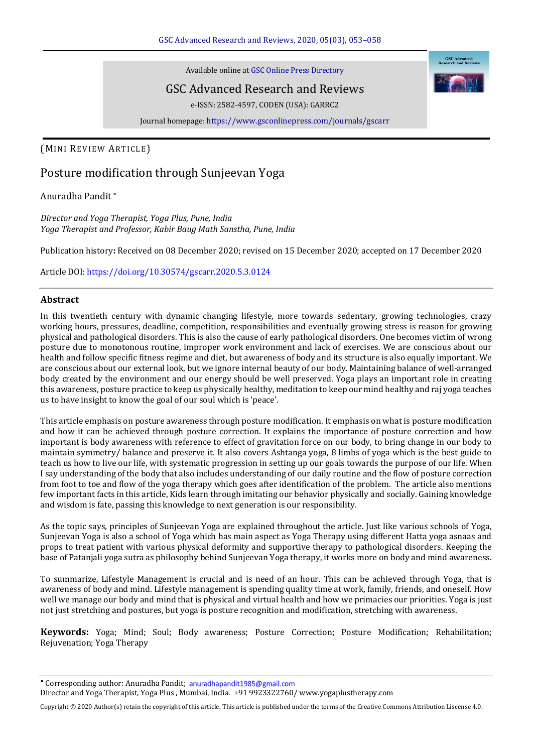Available online at GSC Online Press Directory

# GSC Advanced Research and Reviews

e-ISSN: 2582-4597, CODEN (USA): GARRC2

Journal homepage: <https://www.gsconlinepress.com/journals/gscarr>

## (MINI REVIEW ARTICLE)

# Posture modification through Sunjeevan Yoga

### Anuradha Pandit \*

*Director and Yoga Therapist, Yoga Plus, Pune, India Yoga Therapist and Professor, Kabir Baug Math Sanstha, Pune, India* 

Publication history**:** Received on 08 December 2020; revised on 15 December 2020; accepted on 17 December 2020

Article DOI[: https://doi.org/10.30574/gscarr.2020.5.3.0124](https://doi.org/10.30574/gscarr.2020.5.3.0124)

#### **Abstract**

In this twentieth century with dynamic changing lifestyle, more towards sedentary, growing technologies, crazy working hours, pressures, deadline, competition, responsibilities and eventually growing stress is reason for growing physical and pathological disorders. This is also the cause of early pathological disorders. One becomes victim of wrong posture due to monotonous routine, improper work environment and lack of exercises. We are conscious about our health and follow specific fitness regime and diet, but awareness of body and its structure is also equally important. We are conscious about our external look, but we ignore internal beauty of our body. Maintaining balance of well-arranged body created by the environment and our energy should be well preserved. Yoga plays an important role in creating this awareness, posture practice to keep us physically healthy, meditation to keep our mind healthy and raj yoga teaches us to have insight to know the goal of our soul which is 'peace'.

This article emphasis on posture awareness through posture modification. It emphasis on what is posture modification and how it can be achieved through posture correction. It explains the importance of posture correction and how important is body awareness with reference to effect of gravitation force on our body, to bring change in our body to maintain symmetry/ balance and preserve it. It also covers Ashtanga yoga, 8 limbs of yoga which is the best guide to teach us how to live our life, with systematic progression in setting up our goals towards the purpose of our life. When I say understanding of the body that also includes understanding of our daily routine and the flow of posture correction from foot to toe and flow of the yoga therapy which goes after identification of the problem. The article also mentions few important facts in this article, Kids learn through imitating our behavior physically and socially. Gaining knowledge and wisdom is fate, passing this knowledge to next generation is our responsibility.

As the topic says, principles of Sunjeevan Yoga are explained throughout the article. Just like various schools of Yoga, Sunjeevan Yoga is also a school of Yoga which has main aspect as Yoga Therapy using different Hatta yoga asnaas and props to treat patient with various physical deformity and supportive therapy to pathological disorders. Keeping the base of Patanjali yoga sutra as philosophy behind Sunjeevan Yoga therapy, it works more on body and mind awareness.

To summarize, Lifestyle Management is crucial and is need of an hour. This can be achieved through Yoga, that is awareness of body and mind. Lifestyle management is spending quality time at work, family, friends, and oneself. How well we manage our body and mind that is physical and virtual health and how we primacies our priorities. Yoga is just not just stretching and postures, but yoga is posture recognition and modification, stretching with awareness.

**Keywords:** Yoga; Mind; Soul; Body awareness; Posture Correction; Posture Modification; Rehabilitation; Rejuvenation; Yoga Therapy

Copyright © 2020 Author(s) retain the copyright of this article. This article is published under the terms of th[e Creative Commons Attribution Liscense 4.0.](http://creativecommons.org/licenses/by/4.0/deed.en_US) 

<sup>\*</sup> Corresponding author: Anuradha Pandit; anuradhapandit1985@gmail.com Director and Yoga Therapist, Yoga Plus , Mumbai, India. +91 9923322760/ www.yogaplustherapy.com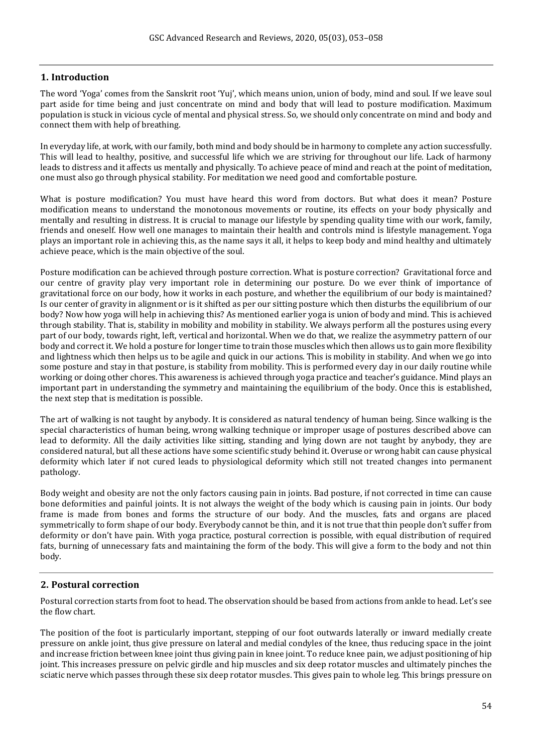# **1. Introduction**

The word 'Yoga' comes from the Sanskrit root 'Yuj', which means union, union of body, mind and soul. If we leave soul part aside for time being and just concentrate on mind and body that will lead to posture modification. Maximum population is stuck in vicious cycle of mental and physical stress. So, we should only concentrate on mind and body and connect them with help of breathing.

In everyday life, at work, with our family, both mind and body should be in harmony to complete any action successfully. This will lead to healthy, positive, and successful life which we are striving for throughout our life. Lack of harmony leads to distress and it affects us mentally and physically. To achieve peace of mind and reach at the point of meditation, one must also go through physical stability. For meditation we need good and comfortable posture.

What is posture modification? You must have heard this word from doctors. But what does it mean? Posture modification means to understand the monotonous movements or routine, its effects on your body physically and mentally and resulting in distress. It is crucial to manage our lifestyle by spending quality time with our work, family, friends and oneself. How well one manages to maintain their health and controls mind is lifestyle management. Yoga plays an important role in achieving this, as the name says it all, it helps to keep body and mind healthy and ultimately achieve peace, which is the main objective of the soul.

Posture modification can be achieved through posture correction. What is posture correction? Gravitational force and our centre of gravity play very important role in determining our posture. Do we ever think of importance of gravitational force on our body, how it works in each posture, and whether the equilibrium of our body is maintained? Is our center of gravity in alignment or is it shifted as per our sitting posture which then disturbs the equilibrium of our body? Now how yoga will help in achieving this? As mentioned earlier yoga is union of body and mind. This is achieved through stability. That is, stability in mobility and mobility in stability. We always perform all the postures using every part of our body, towards right, left, vertical and horizontal. When we do that, we realize the asymmetry pattern of our body and correct it. We hold a posture for longer time to train those muscles which then allows us to gain more flexibility and lightness which then helps us to be agile and quick in our actions. This is mobility in stability. And when we go into some posture and stay in that posture, is stability from mobility. This is performed every day in our daily routine while working or doing other chores. This awareness is achieved through yoga practice and teacher's guidance. Mind plays an important part in understanding the symmetry and maintaining the equilibrium of the body. Once this is established, the next step that is meditation is possible.

The art of walking is not taught by anybody. It is considered as natural tendency of human being. Since walking is the special characteristics of human being, wrong walking technique or improper usage of postures described above can lead to deformity. All the daily activities like sitting, standing and lying down are not taught by anybody, they are considered natural, but all these actions have some scientific study behind it. Overuse or wrong habit can cause physical deformity which later if not cured leads to physiological deformity which still not treated changes into permanent pathology.

Body weight and obesity are not the only factors causing pain in joints. Bad posture, if not corrected in time can cause bone deformities and painful joints. It is not always the weight of the body which is causing pain in joints. Our body frame is made from bones and forms the structure of our body. And the muscles, fats and organs are placed symmetrically to form shape of our body. Everybody cannot be thin, and it is not true that thin people don't suffer from deformity or don't have pain. With yoga practice, postural correction is possible, with equal distribution of required fats, burning of unnecessary fats and maintaining the form of the body. This will give a form to the body and not thin body.

### **2. Postural correction**

Postural correction starts from foot to head. The observation should be based from actions from ankle to head. Let's see the flow chart.

The position of the foot is particularly important, stepping of our foot outwards laterally or inward medially create pressure on ankle joint, thus give pressure on lateral and medial condyles of the knee, thus reducing space in the joint and increase friction between knee joint thus giving pain in knee joint. To reduce knee pain, we adjust positioning of hip joint. This increases pressure on pelvic girdle and hip muscles and six deep rotator muscles and ultimately pinches the sciatic nerve which passes through these six deep rotator muscles. This gives pain to whole leg. This brings pressure on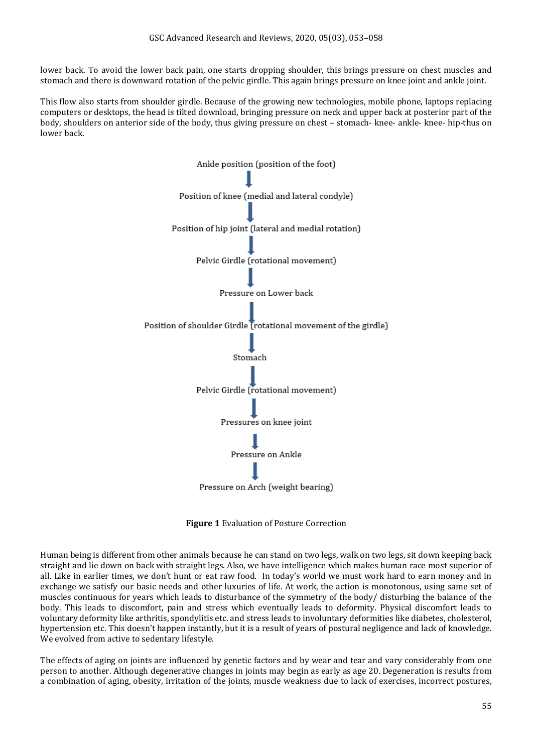lower back. To avoid the lower back pain, one starts dropping shoulder, this brings pressure on chest muscles and stomach and there is downward rotation of the pelvic girdle. This again brings pressure on knee joint and ankle joint.

This flow also starts from shoulder girdle. Because of the growing new technologies, mobile phone, laptops replacing computers or desktops, the head is tilted download, bringing pressure on neck and upper back at posterior part of the body, shoulders on anterior side of the body, thus giving pressure on chest – stomach- knee- ankle- knee- hip-thus on lower back.



**Figure 1** Evaluation of Posture Correction

Human being is different from other animals because he can stand on two legs, walk on two legs, sit down keeping back straight and lie down on back with straight legs. Also, we have intelligence which makes human race most superior of all. Like in earlier times, we don't hunt or eat raw food. In today's world we must work hard to earn money and in exchange we satisfy our basic needs and other luxuries of life. At work, the action is monotonous, using same set of muscles continuous for years which leads to disturbance of the symmetry of the body/ disturbing the balance of the body. This leads to discomfort, pain and stress which eventually leads to deformity. Physical discomfort leads to voluntary deformity like arthritis, spondylitis etc. and stress leads to involuntary deformities like diabetes, cholesterol, hypertension etc. This doesn't happen instantly, but it is a result of years of postural negligence and lack of knowledge. We evolved from active to sedentary lifestyle.

The effects of aging on joints are influenced by genetic factors and by wear and tear and vary considerably from one person to another. Although degenerative changes in joints may begin as early as age 20. Degeneration is results from a combination of aging, obesity, irritation of the joints, muscle weakness due to lack of exercises, incorrect postures,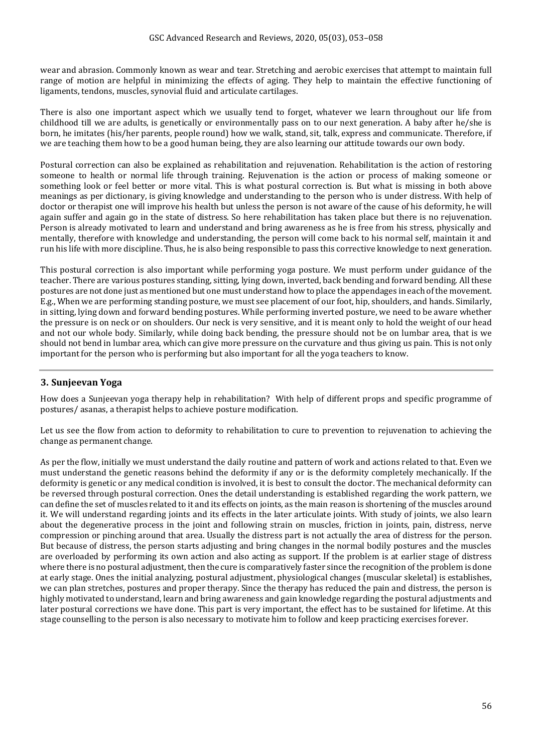wear and abrasion. Commonly known as wear and tear. Stretching and aerobic exercises that attempt to maintain full range of motion are helpful in minimizing the effects of aging. They help to maintain the effective functioning of ligaments, tendons, muscles, synovial fluid and articulate cartilages.

There is also one important aspect which we usually tend to forget, whatever we learn throughout our life from childhood till we are adults, is genetically or environmentally pass on to our next generation. A baby after he/she is born, he imitates (his/her parents, people round) how we walk, stand, sit, talk, express and communicate. Therefore, if we are teaching them how to be a good human being, they are also learning our attitude towards our own body.

Postural correction can also be explained as rehabilitation and rejuvenation. Rehabilitation is the action of restoring someone to health or normal life through training. Rejuvenation is the action or process of making someone or something look or feel better or more vital. This is what postural correction is. But what is missing in both above meanings as per dictionary, is giving knowledge and understanding to the person who is under distress. With help of doctor or therapist one will improve his health but unless the person is not aware of the cause of his deformity, he will again suffer and again go in the state of distress. So here rehabilitation has taken place but there is no rejuvenation. Person is already motivated to learn and understand and bring awareness as he is free from his stress, physically and mentally, therefore with knowledge and understanding, the person will come back to his normal self, maintain it and run his life with more discipline. Thus, he is also being responsible to pass this corrective knowledge to next generation.

This postural correction is also important while performing yoga posture. We must perform under guidance of the teacher. There are various postures standing, sitting, lying down, inverted, back bending and forward bending. All these postures are not done just as mentioned but one must understand how to place the appendages in each of the movement. E.g., When we are performing standing posture, we must see placement of our foot, hip, shoulders, and hands. Similarly, in sitting, lying down and forward bending postures. While performing inverted posture, we need to be aware whether the pressure is on neck or on shoulders. Our neck is very sensitive, and it is meant only to hold the weight of our head and not our whole body. Similarly, while doing back bending, the pressure should not be on lumbar area, that is we should not bend in lumbar area, which can give more pressure on the curvature and thus giving us pain. This is not only important for the person who is performing but also important for all the yoga teachers to know.

# **3. Sunjeevan Yoga**

How does a Sunjeevan yoga therapy help in rehabilitation? With help of different props and specific programme of postures/ asanas, a therapist helps to achieve posture modification.

Let us see the flow from action to deformity to rehabilitation to cure to prevention to rejuvenation to achieving the change as permanent change.

As per the flow, initially we must understand the daily routine and pattern of work and actions related to that. Even we must understand the genetic reasons behind the deformity if any or is the deformity completely mechanically. If the deformity is genetic or any medical condition is involved, it is best to consult the doctor. The mechanical deformity can be reversed through postural correction. Ones the detail understanding is established regarding the work pattern, we can define the set of muscles related to it and its effects on joints, as the main reason is shortening of the muscles around it. We will understand regarding joints and its effects in the later articulate joints. With study of joints, we also learn about the degenerative process in the joint and following strain on muscles, friction in joints, pain, distress, nerve compression or pinching around that area. Usually the distress part is not actually the area of distress for the person. But because of distress, the person starts adjusting and bring changes in the normal bodily postures and the muscles are overloaded by performing its own action and also acting as support. If the problem is at earlier stage of distress where there is no postural adjustment, then the cure is comparatively faster since the recognition of the problem is done at early stage. Ones the initial analyzing, postural adjustment, physiological changes (muscular skeletal) is establishes, we can plan stretches, postures and proper therapy. Since the therapy has reduced the pain and distress, the person is highly motivated to understand, learn and bring awareness and gain knowledge regarding the postural adjustments and later postural corrections we have done. This part is very important, the effect has to be sustained for lifetime. At this stage counselling to the person is also necessary to motivate him to follow and keep practicing exercises forever.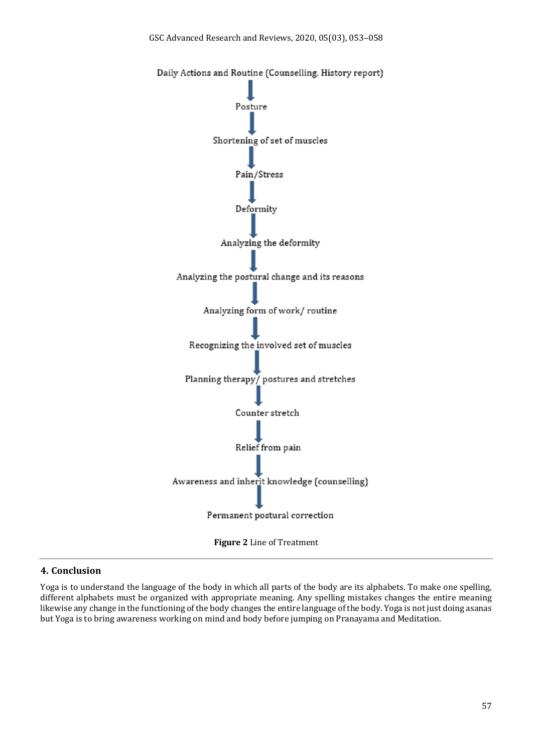

### **4. Conclusion**

Yoga is to understand the language of the body in which all parts of the body are its alphabets. To make one spelling, different alphabets must be organized with appropriate meaning. Any spelling mistakes changes the entire meaning likewise any change in the functioning of the body changes the entire language of the body. Yoga is not just doing asanas but Yoga is to bring awareness working on mind and body before jumping on Pranayama and Meditation.